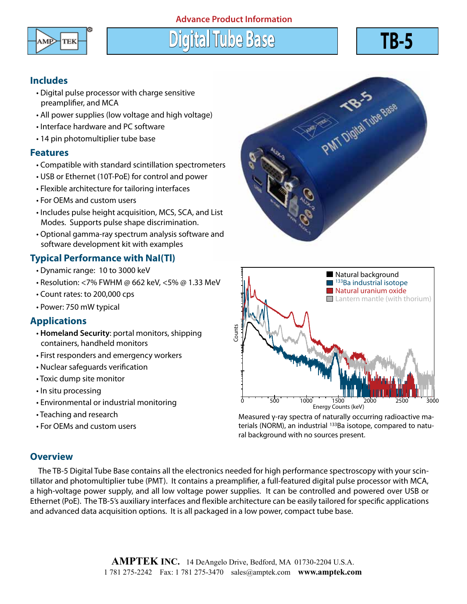## **Advance Product Information**



**Digital Tube Base TB-5**



## **Includes**

- Digital pulse processor with charge sensitive preamplifier, and MCA
- All power supplies (low voltage and high voltage)
- Interface hardware and PC software
- 14 pin photomultiplier tube base

#### **Features**

- Compatible with standard scintillation spectrometers
- USB or Ethernet (10T-PoE) for control and power
- Flexible architecture for tailoring interfaces
- For OEMs and custom users
- Includes pulse height acquisition, MCS, SCA, and List Modes. Supports pulse shape discrimination.
- Optional gamma-ray spectrum analysis software and software development kit with examples

## **Typical Performance with NaI(Tl)**

- Dynamic range: 10 to 3000 keV
- Resolution: <7% FWHM @ 662 keV, <5% @ 1.33 MeV
- Count rates: to 200,000 cps
- Power: 750 mW typical

## **Applications**

- **Homeland Security**: portal monitors, shipping containers, handheld monitors
- First responders and emergency workers
- Nuclear safeguards verification
- Toxic dump site monitor
- In situ processing
- Environmental or industrial monitoring
- Teaching and research
- For OEMs and custom users





Measured γ-ray spectra of naturally occurring radioactive materials (NORM), an industrial <sup>133</sup>Ba isotope, compared to natural background with no sources present.

## **Overview**

 The TB-5 Digital Tube Base contains all the electronics needed for high performance spectroscopy with your scintillator and photomultiplier tube (PMT). It contains a preamplifier, a full-featured digital pulse processor with MCA, a high-voltage power supply, and all low voltage power supplies. It can be controlled and powered over USB or Ethernet (PoE). The TB-5's auxiliary interfaces and flexible architecture can be easily tailored for specific applications and advanced data acquisition options. It is all packaged in a low power, compact tube base.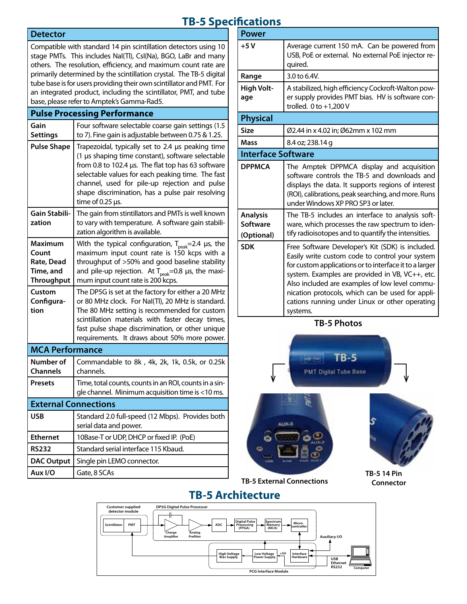# **TB-5 Specifications**

#### **Detector**

Compatible with standard 14 pin scintillation detectors using 10 stage PMTs. This includes NaI(Tl), CsI(Na), BGO, LaBr and many others. The resolution, efficiency, and maximum count rate are primarily determined by the scintillation crystal. The TB-5 digital tube base is for users providing their own scintillator and PMT. For an integrated product, including the scintillator, PMT, and tube base, please refer to Amptek's Gamma-Rad5.

#### **Pulse Processing Performance**

| Gain<br><b>Settings</b>                                   | Four software selectable coarse gain settings (1.5<br>to 7). Fine gain is adjustable between 0.75 & 1.25.                                                                                                                                                                                                                                       |
|-----------------------------------------------------------|-------------------------------------------------------------------------------------------------------------------------------------------------------------------------------------------------------------------------------------------------------------------------------------------------------------------------------------------------|
| <b>Pulse Shape</b>                                        | Trapezoidal, typically set to 2.4 µs peaking time<br>(1 µs shaping time constant), software selectable<br>from 0.8 to 102.4 µs. The flat top has 63 software<br>selectable values for each peaking time. The fast<br>channel, used for pile-up rejection and pulse<br>shape discrimination, has a pulse pair resolving<br>time of 0.25 $\mu$ s. |
| Gain Stabili-<br>zation                                   | The gain from stintillators and PMTs is well known<br>to vary with temperature. A software gain stabili-<br>zation algorithm is available.                                                                                                                                                                                                      |
| Maximum<br>Count<br>Rate, Dead<br>Time, and<br>Throughput | With the typical configuration, $T_{peak}$ =2.4 µs, the<br>maximum input count rate is 150 kcps with a<br>throughput of >50% and good baseline stability<br>and pile-up rejection. At $T_{peak}$ =0.8 µs, the maxi-<br>mum input count rate is 200 kcps.                                                                                        |
| Custom<br>Configura-<br>tion                              | The DP5G is set at the factory for either a 20 MHz<br>or 80 MHz clock. For Nal(Tl), 20 MHz is standard.<br>The 80 MHz setting is recommended for custom<br>scintillation materials with faster decay times,<br>fast pulse shape discrimination, or other unique<br>requirements. It draws about 50% more power.                                 |
| <b>MCA Performance</b>                                    |                                                                                                                                                                                                                                                                                                                                                 |
| Number of<br><b>Channels</b>                              | Commandable to 8k, 4k, 2k, 1k, 0.5k, or 0.25k<br>channels.                                                                                                                                                                                                                                                                                      |
| <b>Presets</b>                                            | Time, total counts, counts in an ROI, counts in a sin-<br>gle channel. Minimum acquisition time is <10 ms.                                                                                                                                                                                                                                      |
| <b>External Connections</b>                               |                                                                                                                                                                                                                                                                                                                                                 |
| USB                                                       | Standard 2.0 full-speed (12 Mbps). Provides both<br>serial data and power.                                                                                                                                                                                                                                                                      |
| <b>Ethernet</b>                                           | 10Base-T or UDP, DHCP or fixed IP. (PoE)                                                                                                                                                                                                                                                                                                        |
| <b>RS232</b>                                              | Standard serial interface 115 Kbaud.                                                                                                                                                                                                                                                                                                            |
| <b>DAC Output</b>                                         | Single pin LEMO connector.                                                                                                                                                                                                                                                                                                                      |
| Aux I/O                                                   | Gate, 8 SCAs                                                                                                                                                                                                                                                                                                                                    |

| <b>Power</b>                              |                                                                                                                                                                                                                                                                                                                                                                                      |  |
|-------------------------------------------|--------------------------------------------------------------------------------------------------------------------------------------------------------------------------------------------------------------------------------------------------------------------------------------------------------------------------------------------------------------------------------------|--|
| $+5V$                                     | Average current 150 mA. Can be powered from<br>USB, PoE or external. No external PoE injector re-<br>quired.                                                                                                                                                                                                                                                                         |  |
| Range                                     | 3.0 to 6.4V.                                                                                                                                                                                                                                                                                                                                                                         |  |
| <b>High Volt-</b><br>age                  | A stabilized, high efficiency Cockroft-Walton pow-<br>er supply provides PMT bias. HV is software con-<br>trolled. $0$ to $+1,200$ V                                                                                                                                                                                                                                                 |  |
| <b>Physical</b>                           |                                                                                                                                                                                                                                                                                                                                                                                      |  |
| Size                                      | Ø2.44 in x 4.02 in; Ø62mm x 102 mm                                                                                                                                                                                                                                                                                                                                                   |  |
| <b>Mass</b>                               | 8.4 oz; 238.14 g                                                                                                                                                                                                                                                                                                                                                                     |  |
| <b>Interface Software</b>                 |                                                                                                                                                                                                                                                                                                                                                                                      |  |
| <b>DPPMCA</b>                             | The Amptek DPPMCA display and acquisition<br>software controls the TB-5 and downloads and<br>displays the data. It supports regions of interest<br>(ROI), calibrations, peak searching, and more. Runs<br>under Windows XP PRO SP3 or later.                                                                                                                                         |  |
| <b>Analysis</b><br>Software<br>(Optional) | The TB-5 includes an interface to analysis soft-<br>ware, which processes the raw spectrum to iden-<br>tify radioisotopes and to quantify the intensities.                                                                                                                                                                                                                           |  |
| <b>SDK</b>                                | Free Software Developer's Kit (SDK) is included.<br>Easily write custom code to control your system<br>for custom applications or to interface it to a larger<br>system. Examples are provided in VB, VC++, etc.<br>Also included are examples of low level commu-<br>nication protocols, which can be used for appli-<br>cations running under Linux or other operating<br>systems. |  |

**TB-5 Photos**



# **TB-5 Architecture**

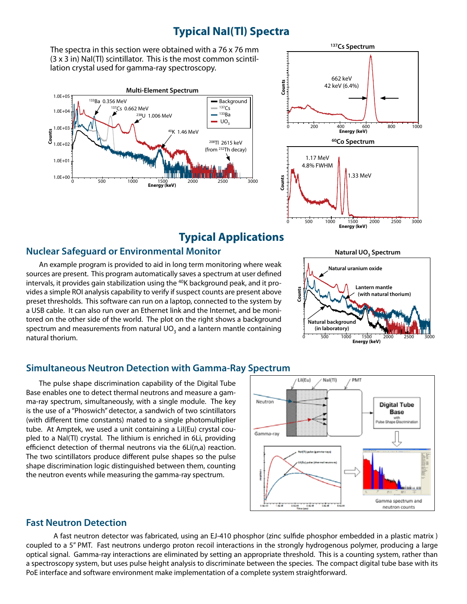# **Typical NaI(Tl) Spectra**

The spectra in this section were obtained with a 76 x 76 mm (3 x 3 in) NaI(Tl) scintillator. This is the most common scintillation crystal used for gamma-ray spectroscopy.





# **Typical Applications**

## **Nuclear Safeguard or Environmental Monitor**

An example program is provided to aid in long term monitoring where weak sources are present. This program automatically saves a spectrum at user defined intervals, it provides gain stabilization using the <sup>40</sup>K background peak, and it provides a simple ROI analysis capability to verify if suspect counts are present above preset thresholds. This software can run on a laptop, connected to the system by a USB cable. It can also run over an Ethernet link and the Internet, and be monitored on the other side of the world. The plot on the right shows a background spectrum and measurements from natural  $UO<sub>3</sub>$  and a lantern mantle containing natural thorium.

## **Simultaneous Neutron Detection with Gamma-Ray Spectrum**

The pulse shape discrimination capability of the Digital Tube Base enables one to detect thermal neutrons and measure a gamma-ray spectrum, simultaneously, with a single module. The key is the use of a "Phoswich" detector, a sandwich of two scintillators (with different time constants) mated to a single photomultiplier tube. At Amptek, we used a unit containing a LiI(Eu) crystal coupled to a NaI(Tl) crystal. The lithium is enriched in 6Li, providing efficienct detection of thermal neutrons via the 6Li(n,a) reaction. The two scintillators produce different pulse shapes so the pulse shape discrimination logic distinguished between them, counting the neutron events while measuring the gamma-ray spectrum.



## **Fast Neutron Detection**

 A fast neutron detector was fabricated, using an EJ-410 phosphor (zinc sulfide phosphor embedded in a plastic matrix ) coupled to a 5" PMT. Fast neutrons undergo proton recoil interactions in the strongly hydrogenous polymer, producing a large optical signal. Gamma-ray interactions are eliminated by setting an appropriate threshold. This is a counting system, rather than a spectroscopy system, but uses pulse height analysis to discriminate between the species. The compact digital tube base with its PoE interface and software environment make implementation of a complete system straightforward.